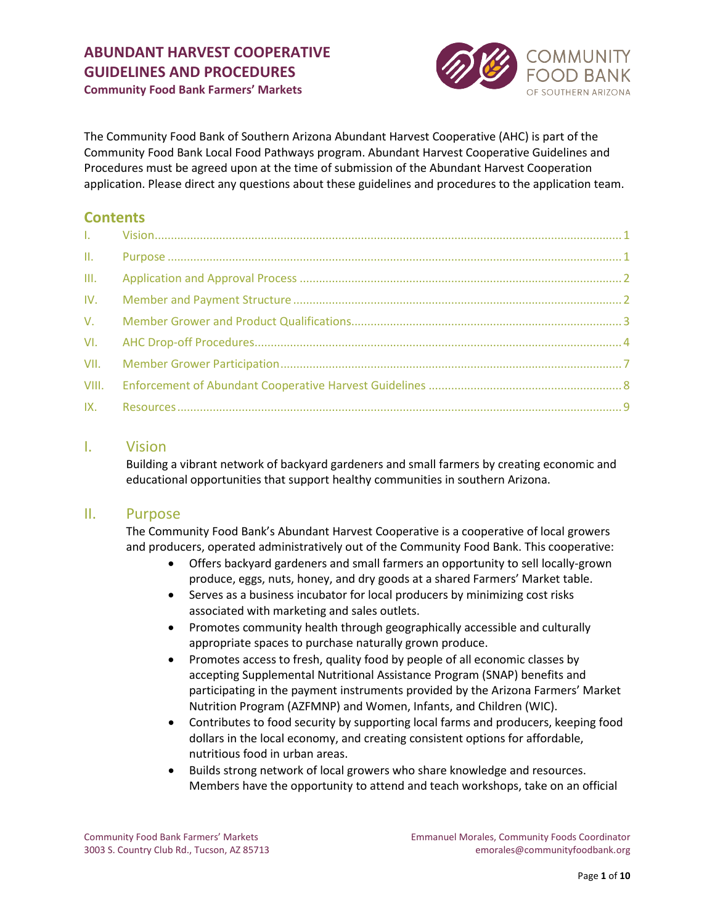

**Community Food Bank Farmers' Markets**

The Community Food Bank of Southern Arizona Abundant Harvest Cooperative (AHC) is part of the Community Food Bank Local Food Pathways program. Abundant Harvest Cooperative Guidelines and Procedures must be agreed upon at the time of submission of the Abundant Harvest Cooperation application. Please direct any questions about these guidelines and procedures to the application team.

# **Contents**

| III. |  |
|------|--|
| IV.  |  |
|      |  |
|      |  |
| VII. |  |
|      |  |
|      |  |

# <span id="page-0-0"></span>I. Vision

Building a vibrant network of backyard gardeners and small farmers by creating economic and educational opportunities that support healthy communities in southern Arizona.

# <span id="page-0-1"></span>II. Purpose

The Community Food Bank's Abundant Harvest Cooperative is a cooperative of local growers and producers, operated administratively out of the Community Food Bank. This cooperative:

- Offers backyard gardeners and small farmers an opportunity to sell locally-grown produce, eggs, nuts, honey, and dry goods at a shared Farmers' Market table.
- Serves as a business incubator for local producers by minimizing cost risks associated with marketing and sales outlets.
- Promotes community health through geographically accessible and culturally appropriate spaces to purchase naturally grown produce.
- Promotes access to fresh, quality food by people of all economic classes by accepting Supplemental Nutritional Assistance Program (SNAP) benefits and participating in the payment instruments provided by the Arizona Farmers' Market Nutrition Program (AZFMNP) and Women, Infants, and Children (WIC).
- Contributes to food security by supporting local farms and producers, keeping food dollars in the local economy, and creating consistent options for affordable, nutritious food in urban areas.
- Builds strong network of local growers who share knowledge and resources. Members have the opportunity to attend and teach workshops, take on an official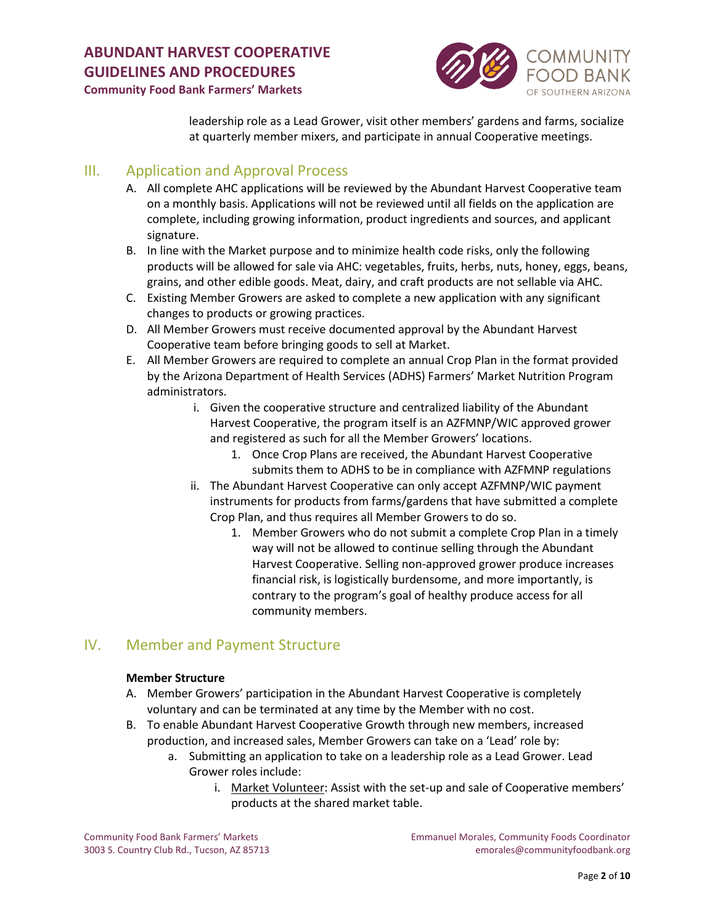

**Community Food Bank Farmers' Markets**

leadership role as a Lead Grower, visit other members' gardens and farms, socialize at quarterly member mixers, and participate in annual Cooperative meetings.

# <span id="page-1-0"></span>III. Application and Approval Process

- A. All complete AHC applications will be reviewed by the Abundant Harvest Cooperative team on a monthly basis. Applications will not be reviewed until all fields on the application are complete, including growing information, product ingredients and sources, and applicant signature.
- B. In line with the Market purpose and to minimize health code risks, only the following products will be allowed for sale via AHC: vegetables, fruits, herbs, nuts, honey, eggs, beans, grains, and other edible goods. Meat, dairy, and craft products are not sellable via AHC.
- C. Existing Member Growers are asked to complete a new application with any significant changes to products or growing practices.
- D. All Member Growers must receive documented approval by the Abundant Harvest Cooperative team before bringing goods to sell at Market.
- E. All Member Growers are required to complete an annual Crop Plan in the format provided by the Arizona Department of Health Services (ADHS) Farmers' Market Nutrition Program administrators.
	- i. Given the cooperative structure and centralized liability of the Abundant Harvest Cooperative, the program itself is an AZFMNP/WIC approved grower and registered as such for all the Member Growers' locations.
		- 1. Once Crop Plans are received, the Abundant Harvest Cooperative submits them to ADHS to be in compliance with AZFMNP regulations
	- ii. The Abundant Harvest Cooperative can only accept AZFMNP/WIC payment instruments for products from farms/gardens that have submitted a complete Crop Plan, and thus requires all Member Growers to do so.
		- 1. Member Growers who do not submit a complete Crop Plan in a timely way will not be allowed to continue selling through the Abundant Harvest Cooperative. Selling non-approved grower produce increases financial risk, is logistically burdensome, and more importantly, is contrary to the program's goal of healthy produce access for all community members.

# <span id="page-1-1"></span>IV. Member and Payment Structure

# **Member Structure**

- A. Member Growers' participation in the Abundant Harvest Cooperative is completely voluntary and can be terminated at any time by the Member with no cost.
- B. To enable Abundant Harvest Cooperative Growth through new members, increased production, and increased sales, Member Growers can take on a 'Lead' role by:
	- a. Submitting an application to take on a leadership role as a Lead Grower. Lead Grower roles include:
		- i. Market Volunteer: Assist with the set-up and sale of Cooperative members' products at the shared market table.

Community Food Bank Farmers' Markets Emmanuel Morales, Community Foods Coordinator 3003 S. Country Club Rd., Tucson, AZ 85713 emorales@communityfoodbank.org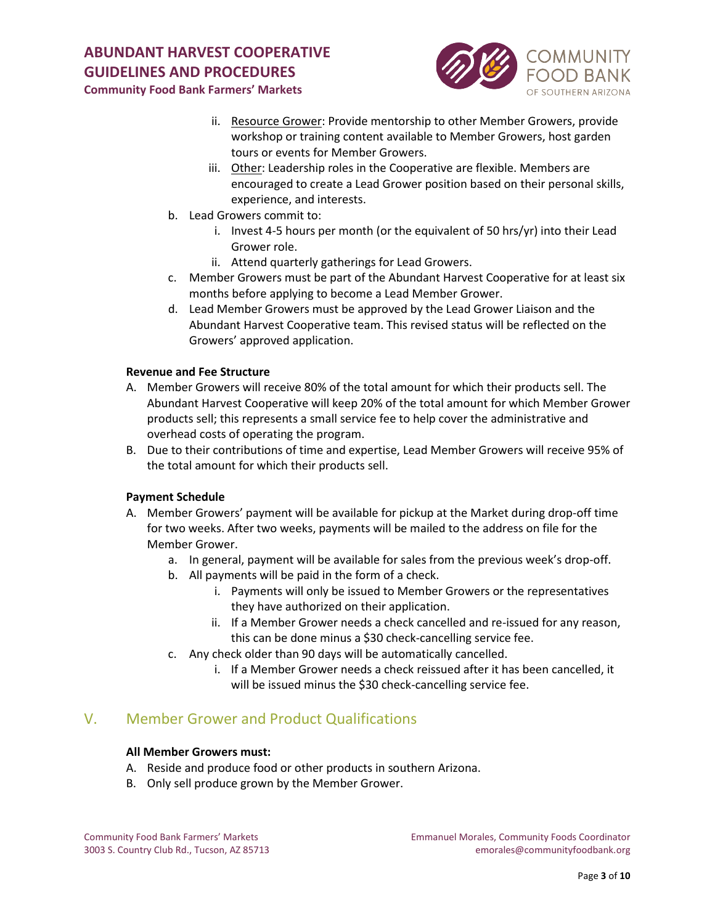

**Community Food Bank Farmers' Markets**

- ii. Resource Grower: Provide mentorship to other Member Growers, provide workshop or training content available to Member Growers, host garden tours or events for Member Growers.
- iii. Other: Leadership roles in the Cooperative are flexible. Members are encouraged to create a Lead Grower position based on their personal skills, experience, and interests.
- b. Lead Growers commit to:
	- i. Invest 4-5 hours per month (or the equivalent of 50 hrs/yr) into their Lead Grower role.
	- ii. Attend quarterly gatherings for Lead Growers.
- c. Member Growers must be part of the Abundant Harvest Cooperative for at least six months before applying to become a Lead Member Grower.
- d. Lead Member Growers must be approved by the Lead Grower Liaison and the Abundant Harvest Cooperative team. This revised status will be reflected on the Growers' approved application.

# **Revenue and Fee Structure**

- A. Member Growers will receive 80% of the total amount for which their products sell. The Abundant Harvest Cooperative will keep 20% of the total amount for which Member Grower products sell; this represents a small service fee to help cover the administrative and overhead costs of operating the program.
- B. Due to their contributions of time and expertise, Lead Member Growers will receive 95% of the total amount for which their products sell.

# **Payment Schedule**

- A. Member Growers' payment will be available for pickup at the Market during drop-off time for two weeks. After two weeks, payments will be mailed to the address on file for the Member Grower.
	- a. In general, payment will be available for sales from the previous week's drop-off.
	- b. All payments will be paid in the form of a check.
		- i. Payments will only be issued to Member Growers or the representatives they have authorized on their application.
		- ii. If a Member Grower needs a check cancelled and re-issued for any reason, this can be done minus a \$30 check-cancelling service fee.
	- c. Any check older than 90 days will be automatically cancelled.
		- i. If a Member Grower needs a check reissued after it has been cancelled, it will be issued minus the \$30 check-cancelling service fee.

# <span id="page-2-0"></span>V. Member Grower and Product Qualifications

# **All Member Growers must:**

- A. Reside and produce food or other products in southern Arizona.
- B. Only sell produce grown by the Member Grower.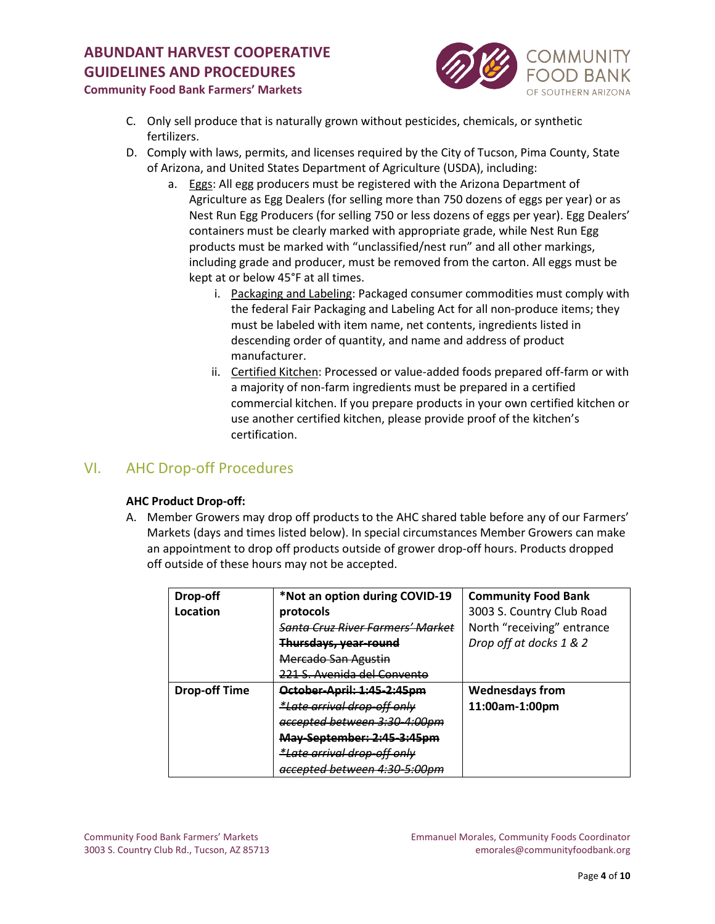

# **Community Food Bank Farmers' Markets**

- C. Only sell produce that is naturally grown without pesticides, chemicals, or synthetic fertilizers.
- D. Comply with laws, permits, and licenses required by the City of Tucson, Pima County, State of Arizona, and United States Department of Agriculture (USDA), including:
	- a. Eggs: All egg producers must be registered with the Arizona Department of Agriculture as Egg Dealers (for selling more than 750 dozens of eggs per year) or as Nest Run Egg Producers (for selling 750 or less dozens of eggs per year). Egg Dealers' containers must be clearly marked with appropriate grade, while Nest Run Egg products must be marked with "unclassified/nest run" and all other markings, including grade and producer, must be removed from the carton. All eggs must be kept at or below 45°F at all times.
		- i. Packaging and Labeling: Packaged consumer commodities must comply with the federal Fair Packaging and Labeling Act for all non-produce items; they must be labeled with item name, net contents, ingredients listed in descending order of quantity, and name and address of product manufacturer.
		- ii. Certified Kitchen: Processed or value-added foods prepared off-farm or with a majority of non-farm ingredients must be prepared in a certified commercial kitchen. If you prepare products in your own certified kitchen or use another certified kitchen, please provide proof of the kitchen's certification.

# <span id="page-3-0"></span>VI. AHC Drop-off Procedures

# **AHC Product Drop-off:**

A. Member Growers may drop off products to the AHC shared table before any of our Farmers' Markets (days and times listed below). In special circumstances Member Growers can make an appointment to drop off products outside of grower drop-off hours. Products dropped off outside of these hours may not be accepted.

| Drop-off             | *Not an option during COVID-19          | <b>Community Food Bank</b> |
|----------------------|-----------------------------------------|----------------------------|
| Location             | protocols                               | 3003 S. Country Club Road  |
|                      | Santa Cruz River Farmers' Market        | North "receiving" entrance |
|                      | Thursdays, year-round                   | Drop off at docks 1 & 2    |
|                      | Mercado San Agustin                     |                            |
|                      | <u>1 S. Avenida del Convento</u>        |                            |
| <b>Drop-off Time</b> | October-April: 1:45-2:45pm              | <b>Wednesdays from</b>     |
|                      | <i>*Late arrival drop-off only</i>      | 11:00am-1:00pm             |
|                      | <del>accepted between 3:30-4:00pm</del> |                            |
|                      | May-September: 2:45-3:45pm              |                            |
|                      | *Late arrival drop-off only             |                            |
|                      | accepted between 4:30-5:00pm            |                            |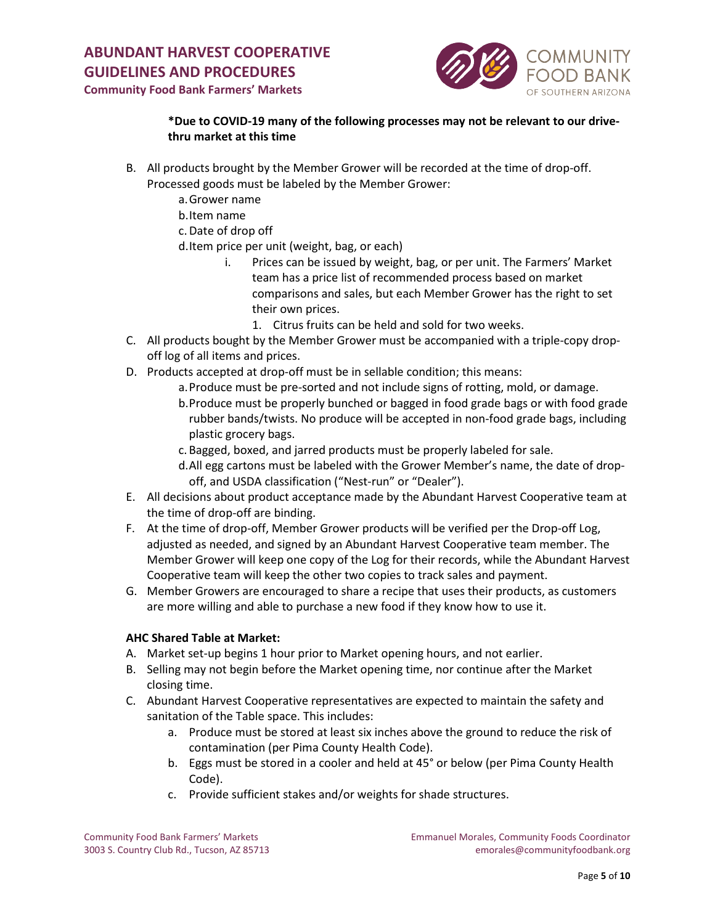

**Community Food Bank Farmers' Markets**

# **\*Due to COVID-19 many of the following processes may not be relevant to our drivethru market at this time**

- B. All products brought by the Member Grower will be recorded at the time of drop-off. Processed goods must be labeled by the Member Grower:
	- a.Grower name
	- b.Item name
	- c.Date of drop off
	- d.Item price per unit (weight, bag, or each)
		- i. Prices can be issued by weight, bag, or per unit. The Farmers' Market team has a price list of recommended process based on market comparisons and sales, but each Member Grower has the right to set their own prices.
			- 1. Citrus fruits can be held and sold for two weeks.
- C. All products bought by the Member Grower must be accompanied with a triple-copy dropoff log of all items and prices.
- D. Products accepted at drop-off must be in sellable condition; this means:
	- a.Produce must be pre-sorted and not include signs of rotting, mold, or damage.
	- b.Produce must be properly bunched or bagged in food grade bags or with food grade rubber bands/twists. No produce will be accepted in non-food grade bags, including plastic grocery bags.
	- c. Bagged, boxed, and jarred products must be properly labeled for sale.
	- d.All egg cartons must be labeled with the Grower Member's name, the date of dropoff, and USDA classification ("Nest-run" or "Dealer").
- E. All decisions about product acceptance made by the Abundant Harvest Cooperative team at the time of drop-off are binding.
- F. At the time of drop-off, Member Grower products will be verified per the Drop-off Log, adjusted as needed, and signed by an Abundant Harvest Cooperative team member. The Member Grower will keep one copy of the Log for their records, while the Abundant Harvest Cooperative team will keep the other two copies to track sales and payment.
- G. Member Growers are encouraged to share a recipe that uses their products, as customers are more willing and able to purchase a new food if they know how to use it.

# **AHC Shared Table at Market:**

- A. Market set-up begins 1 hour prior to Market opening hours, and not earlier.
- B. Selling may not begin before the Market opening time, nor continue after the Market closing time.
- C. Abundant Harvest Cooperative representatives are expected to maintain the safety and sanitation of the Table space. This includes:
	- a. Produce must be stored at least six inches above the ground to reduce the risk of contamination (per Pima County Health Code).
	- b. Eggs must be stored in a cooler and held at 45° or below (per Pima County Health Code).
	- c. Provide sufficient stakes and/or weights for shade structures.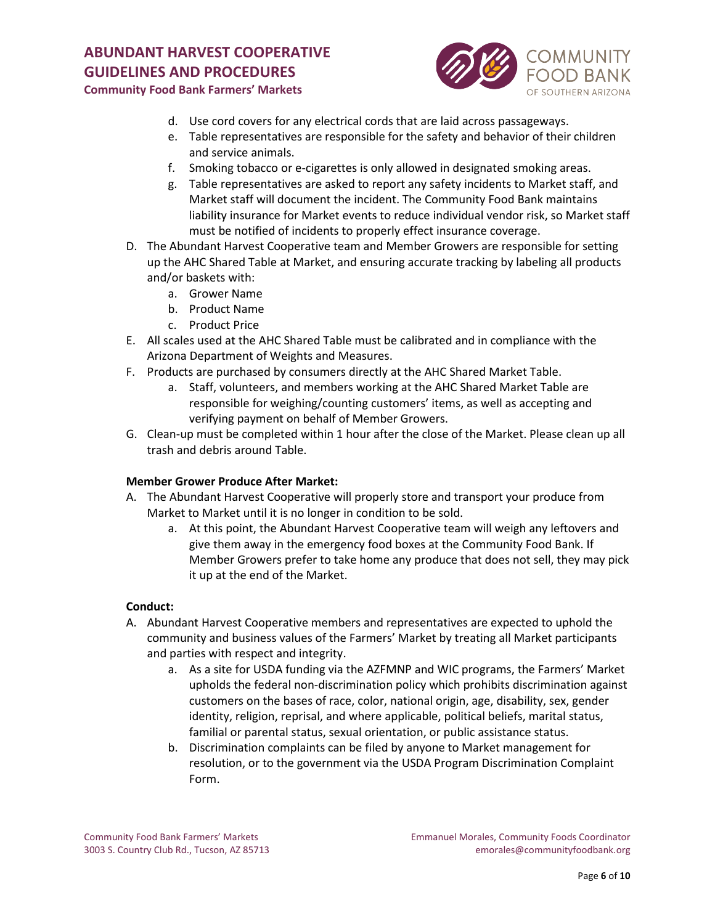

**Community Food Bank Farmers' Markets**

- d. Use cord covers for any electrical cords that are laid across passageways.
- e. Table representatives are responsible for the safety and behavior of their children and service animals.
- f. Smoking tobacco or e-cigarettes is only allowed in designated smoking areas.
- g. Table representatives are asked to report any safety incidents to Market staff, and Market staff will document the incident. The Community Food Bank maintains liability insurance for Market events to reduce individual vendor risk, so Market staff must be notified of incidents to properly effect insurance coverage.
- D. The Abundant Harvest Cooperative team and Member Growers are responsible for setting up the AHC Shared Table at Market, and ensuring accurate tracking by labeling all products and/or baskets with:
	- a. Grower Name
	- b. Product Name
	- c. Product Price
- E. All scales used at the AHC Shared Table must be calibrated and in compliance with the Arizona Department of Weights and Measures.
- F. Products are purchased by consumers directly at the AHC Shared Market Table.
	- a. Staff, volunteers, and members working at the AHC Shared Market Table are responsible for weighing/counting customers' items, as well as accepting and verifying payment on behalf of Member Growers.
- G. Clean-up must be completed within 1 hour after the close of the Market. Please clean up all trash and debris around Table.

# **Member Grower Produce After Market:**

- A. The Abundant Harvest Cooperative will properly store and transport your produce from Market to Market until it is no longer in condition to be sold.
	- a. At this point, the Abundant Harvest Cooperative team will weigh any leftovers and give them away in the emergency food boxes at the Community Food Bank. If Member Growers prefer to take home any produce that does not sell, they may pick it up at the end of the Market.

# **Conduct:**

- A. Abundant Harvest Cooperative members and representatives are expected to uphold the community and business values of the Farmers' Market by treating all Market participants and parties with respect and integrity.
	- a. As a site for USDA funding via the AZFMNP and WIC programs, the Farmers' Market upholds the federal non-discrimination policy which prohibits discrimination against customers on the bases of race, color, national origin, age, disability, sex, gender identity, religion, reprisal, and where applicable, political beliefs, marital status, familial or parental status, sexual orientation, or public assistance status.
	- b. Discrimination complaints can be filed by anyone to Market management for resolution, or to the government via the USDA Program Discrimination Complaint Form.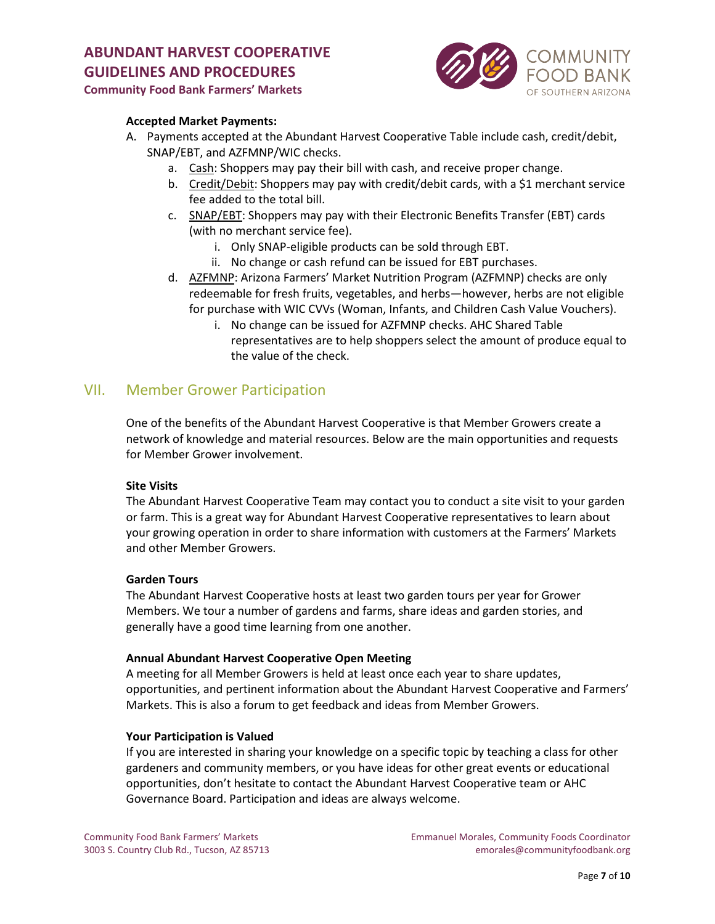

# **Community Food Bank Farmers' Markets**

# **Accepted Market Payments:**

- A. Payments accepted at the Abundant Harvest Cooperative Table include cash, credit/debit, SNAP/EBT, and AZFMNP/WIC checks.
	- a. Cash: Shoppers may pay their bill with cash, and receive proper change.
	- b. Credit/Debit: Shoppers may pay with credit/debit cards, with a \$1 merchant service fee added to the total bill.
	- c. SNAP/EBT: Shoppers may pay with their Electronic Benefits Transfer (EBT) cards (with no merchant service fee).
		- i. Only SNAP-eligible products can be sold through EBT.
		- ii. No change or cash refund can be issued for EBT purchases.
	- d. AZFMNP: Arizona Farmers' Market Nutrition Program (AZFMNP) checks are only redeemable for fresh fruits, vegetables, and herbs—however, herbs are not eligible for purchase with WIC CVVs (Woman, Infants, and Children Cash Value Vouchers).
		- i. No change can be issued for AZFMNP checks. AHC Shared Table representatives are to help shoppers select the amount of produce equal to the value of the check.

# <span id="page-6-0"></span>VII. Member Grower Participation

One of the benefits of the Abundant Harvest Cooperative is that Member Growers create a network of knowledge and material resources. Below are the main opportunities and requests for Member Grower involvement.

#### **Site Visits**

The Abundant Harvest Cooperative Team may contact you to conduct a site visit to your garden or farm. This is a great way for Abundant Harvest Cooperative representatives to learn about your growing operation in order to share information with customers at the Farmers' Markets and other Member Growers.

#### **Garden Tours**

The Abundant Harvest Cooperative hosts at least two garden tours per year for Grower Members. We tour a number of gardens and farms, share ideas and garden stories, and generally have a good time learning from one another.

#### **Annual Abundant Harvest Cooperative Open Meeting**

A meeting for all Member Growers is held at least once each year to share updates, opportunities, and pertinent information about the Abundant Harvest Cooperative and Farmers' Markets. This is also a forum to get feedback and ideas from Member Growers.

#### **Your Participation is Valued**

If you are interested in sharing your knowledge on a specific topic by teaching a class for other gardeners and community members, or you have ideas for other great events or educational opportunities, don't hesitate to contact the Abundant Harvest Cooperative team or AHC Governance Board. Participation and ideas are always welcome.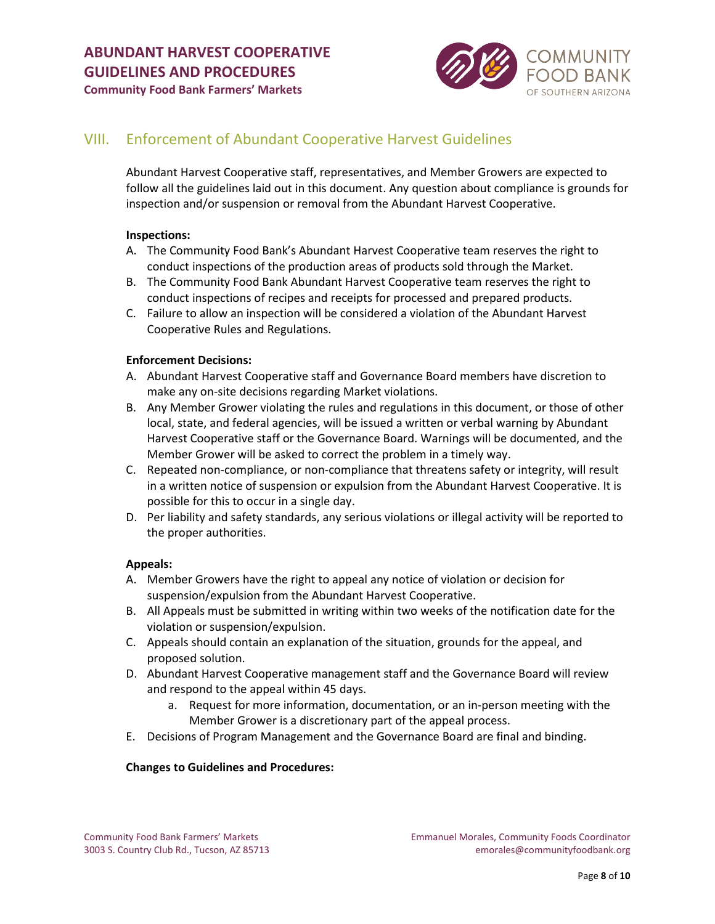

**Community Food Bank Farmers' Markets**

# <span id="page-7-0"></span>VIII. Enforcement of Abundant Cooperative Harvest Guidelines

Abundant Harvest Cooperative staff, representatives, and Member Growers are expected to follow all the guidelines laid out in this document. Any question about compliance is grounds for inspection and/or suspension or removal from the Abundant Harvest Cooperative.

#### **Inspections:**

- A. The Community Food Bank's Abundant Harvest Cooperative team reserves the right to conduct inspections of the production areas of products sold through the Market.
- B. The Community Food Bank Abundant Harvest Cooperative team reserves the right to conduct inspections of recipes and receipts for processed and prepared products.
- C. Failure to allow an inspection will be considered a violation of the Abundant Harvest Cooperative Rules and Regulations.

#### **Enforcement Decisions:**

- A. Abundant Harvest Cooperative staff and Governance Board members have discretion to make any on-site decisions regarding Market violations.
- B. Any Member Grower violating the rules and regulations in this document, or those of other local, state, and federal agencies, will be issued a written or verbal warning by Abundant Harvest Cooperative staff or the Governance Board. Warnings will be documented, and the Member Grower will be asked to correct the problem in a timely way.
- C. Repeated non-compliance, or non-compliance that threatens safety or integrity, will result in a written notice of suspension or expulsion from the Abundant Harvest Cooperative. It is possible for this to occur in a single day.
- D. Per liability and safety standards, any serious violations or illegal activity will be reported to the proper authorities.

# **Appeals:**

- A. Member Growers have the right to appeal any notice of violation or decision for suspension/expulsion from the Abundant Harvest Cooperative.
- B. All Appeals must be submitted in writing within two weeks of the notification date for the violation or suspension/expulsion.
- C. Appeals should contain an explanation of the situation, grounds for the appeal, and proposed solution.
- D. Abundant Harvest Cooperative management staff and the Governance Board will review and respond to the appeal within 45 days.
	- a. Request for more information, documentation, or an in-person meeting with the Member Grower is a discretionary part of the appeal process.
- E. Decisions of Program Management and the Governance Board are final and binding.

# **Changes to Guidelines and Procedures:**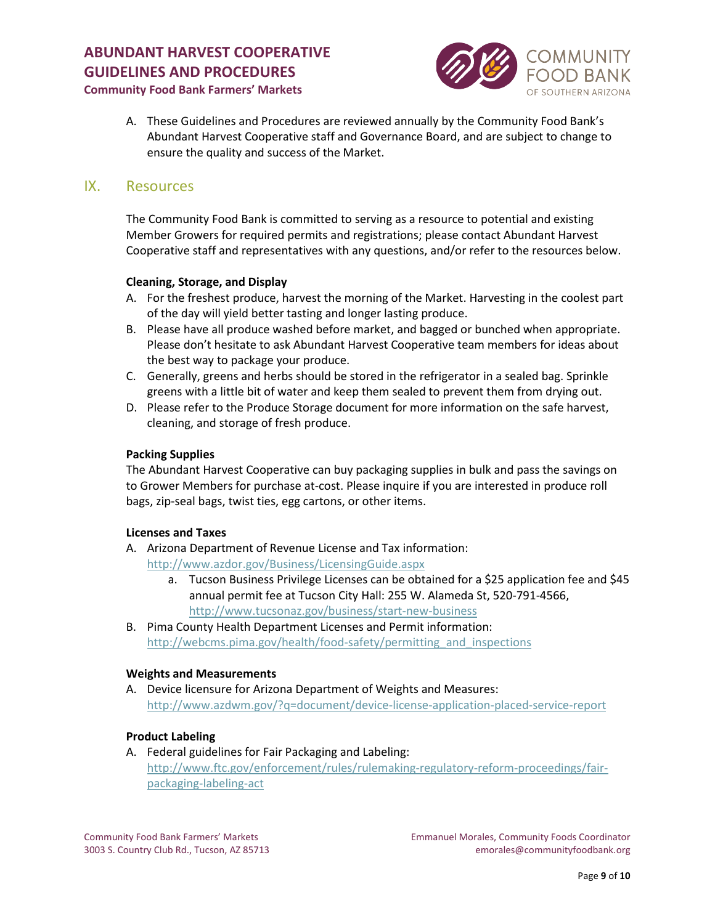

# **Community Food Bank Farmers' Markets**

A. These Guidelines and Procedures are reviewed annually by the Community Food Bank's Abundant Harvest Cooperative staff and Governance Board, and are subject to change to ensure the quality and success of the Market.

# <span id="page-8-0"></span>IX. Resources

The Community Food Bank is committed to serving as a resource to potential and existing Member Growers for required permits and registrations; please contact Abundant Harvest Cooperative staff and representatives with any questions, and/or refer to the resources below.

# **Cleaning, Storage, and Display**

- A. For the freshest produce, harvest the morning of the Market. Harvesting in the coolest part of the day will yield better tasting and longer lasting produce.
- B. Please have all produce washed before market, and bagged or bunched when appropriate. Please don't hesitate to ask Abundant Harvest Cooperative team members for ideas about the best way to package your produce.
- C. Generally, greens and herbs should be stored in the refrigerator in a sealed bag. Sprinkle greens with a little bit of water and keep them sealed to prevent them from drying out.
- D. Please refer to the Produce Storage document for more information on the safe harvest, cleaning, and storage of fresh produce.

# **Packing Supplies**

The Abundant Harvest Cooperative can buy packaging supplies in bulk and pass the savings on to Grower Members for purchase at-cost. Please inquire if you are interested in produce roll bags, zip-seal bags, twist ties, egg cartons, or other items.

# **Licenses and Taxes**

A. Arizona Department of Revenue License and Tax information:

<http://www.azdor.gov/Business/LicensingGuide.aspx>

- a. Tucson Business Privilege Licenses can be obtained for a \$25 application fee and \$45 annual permit fee at Tucson City Hall: 255 W. Alameda St, 520-791-4566, <http://www.tucsonaz.gov/business/start-new-business>
- B. Pima County Health Department Licenses and Permit information: http://webcms.pima.gov/health/food-safety/permitting and inspections

# **Weights and Measurements**

A. Device licensure for Arizona Department of Weights and Measures: <http://www.azdwm.gov/?q=document/device-license-application-placed-service-report>

# **Product Labeling**

A. Federal guidelines for Fair Packaging and Labeling: [http://www.ftc.gov/enforcement/rules/rulemaking-regulatory-reform-proceedings/fair](http://www.ftc.gov/enforcement/rules/rulemaking-regulatory-reform-proceedings/fair-%20packaging-labeling-act)[packaging-labeling-act](http://www.ftc.gov/enforcement/rules/rulemaking-regulatory-reform-proceedings/fair-%20packaging-labeling-act)